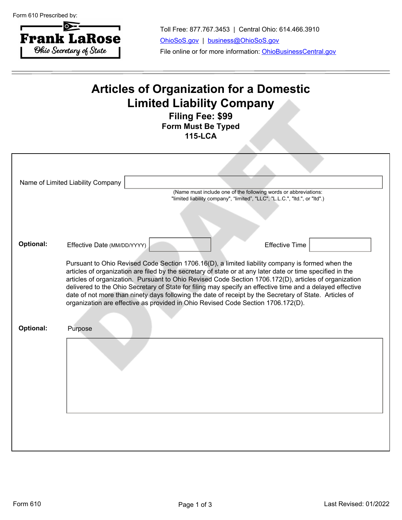Form 610 Prescribed by:



Toll Free: 877.767.3453 | Central Ohio: 614.466.3910 [OhioSoS.gov](https://www.OhioSoS.gov) | [business@OhioSoS.gov](mailto:business@OhioSoS.gov) File online or for more information: [OhioBusinessCentral.gov](https://bsportal.ohiosos.gov)

## **Articles of Organization for a Domestic Limited Liability Company**

**Filing Fee: \$99 Form Must Be Typed 115-LCA**

|           | Name of Limited Liability Company<br>(Name must include one of the following words or abbreviations:<br>"limited liability company", "limited", "LLC", "L.L.C.", "Itd.", or "Itd".)                                                                                                                                                                                                                                                                                                                                                                                                                                                |
|-----------|------------------------------------------------------------------------------------------------------------------------------------------------------------------------------------------------------------------------------------------------------------------------------------------------------------------------------------------------------------------------------------------------------------------------------------------------------------------------------------------------------------------------------------------------------------------------------------------------------------------------------------|
| Optional: | Effective Date (MM/DD/YYYY)<br><b>Effective Time</b>                                                                                                                                                                                                                                                                                                                                                                                                                                                                                                                                                                               |
|           | Pursuant to Ohio Revised Code Section 1706.16(D), a limited liability company is formed when the<br>articles of organization are filed by the secretary of state or at any later date or time specified in the<br>articles of organization. Pursuant to Ohio Revised Code Section 1706.172(D), articles of organization<br>delivered to the Ohio Secretary of State for filing may specify an effective time and a delayed effective<br>date of not more than ninety days following the date of receipt by the Secretary of State. Articles of<br>organization are effective as provided in Ohio Revised Code Section 1706.172(D). |
| Optional: | Purpose                                                                                                                                                                                                                                                                                                                                                                                                                                                                                                                                                                                                                            |
|           |                                                                                                                                                                                                                                                                                                                                                                                                                                                                                                                                                                                                                                    |
|           |                                                                                                                                                                                                                                                                                                                                                                                                                                                                                                                                                                                                                                    |
|           |                                                                                                                                                                                                                                                                                                                                                                                                                                                                                                                                                                                                                                    |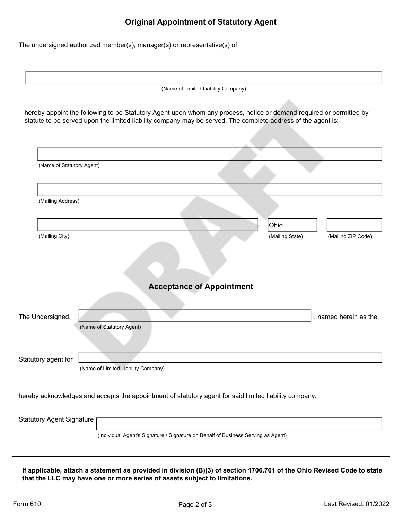| <b>Original Appointment of Statutory Agent</b>                                                                                                                                                                                      |
|-------------------------------------------------------------------------------------------------------------------------------------------------------------------------------------------------------------------------------------|
| The undersigned authorized member(s), manager(s) or representative(s) of                                                                                                                                                            |
|                                                                                                                                                                                                                                     |
| (Name of Limited Liability Company)                                                                                                                                                                                                 |
| hereby appoint the following to be Statutory Agent upon whom any process, notice or demand required or permitted by<br>statute to be served upon the limited liability company may be served. The complete address of the agent is: |
|                                                                                                                                                                                                                                     |
| (Name of Statutory Agent)                                                                                                                                                                                                           |
|                                                                                                                                                                                                                                     |
| (Mailing Address)                                                                                                                                                                                                                   |
| Ohio                                                                                                                                                                                                                                |
|                                                                                                                                                                                                                                     |
| <b>Acceptance of Appointment</b>                                                                                                                                                                                                    |
|                                                                                                                                                                                                                                     |
| The Undersigned,<br>, named herein as the<br>(Name of Statutory Agent)                                                                                                                                                              |
| Statutory agent for<br>(Name of Limited Liability Company)                                                                                                                                                                          |
|                                                                                                                                                                                                                                     |
| hereby acknowledges and accepts the appointment of statutory agent for said limited liability company.                                                                                                                              |
| <b>Statutory Agent Signature</b>                                                                                                                                                                                                    |
| (Individual Agent's Signature / Signature on Behalf of Business Serving as Agent)                                                                                                                                                   |
| If applicable, attach a statement as provided in division (B)(3) of section 1706.761 of the Ohio Revised Code to state<br>that the LLC may have one or more series of assets subject to limitations.                                |